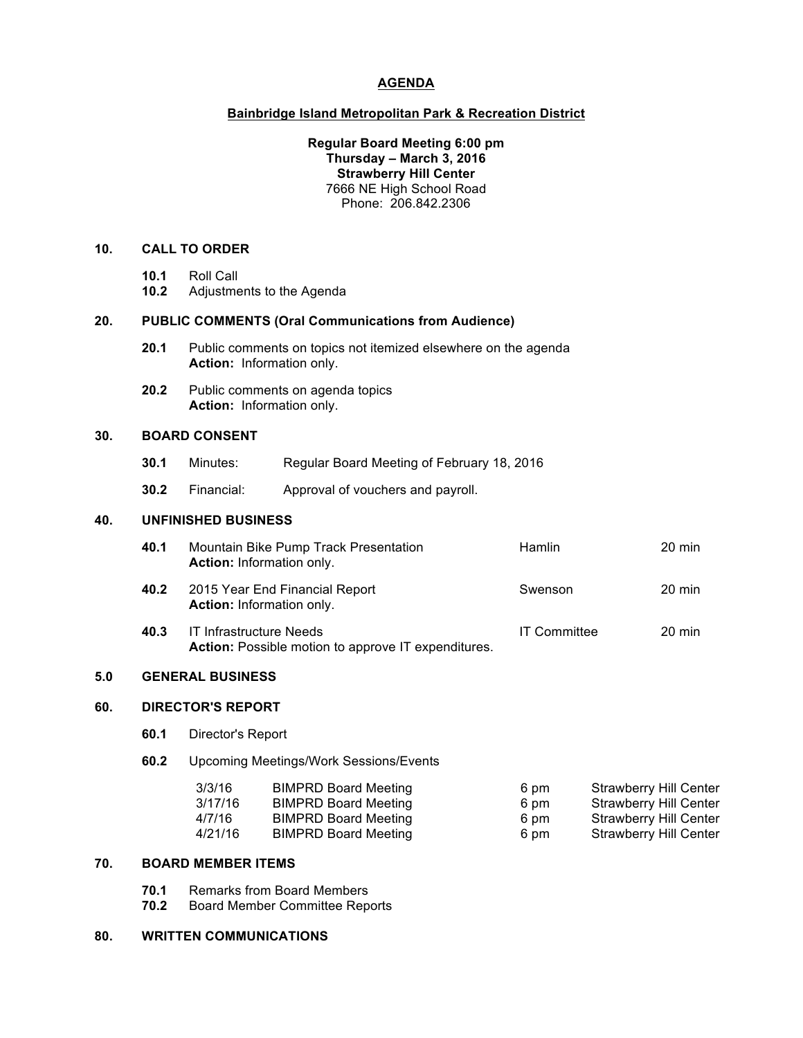# **AGENDA**

#### **Bainbridge Island Metropolitan Park & Recreation District**

#### **Regular Board Meeting 6:00 pm Thursday – March 3, 2016 Strawberry Hill Center** 7666 NE High School Road Phone: 206.842.2306

# **10. CALL TO ORDER**

- **10.1** Roll Call
- **10.2** Adjustments to the Agenda

### **20. PUBLIC COMMENTS (Oral Communications from Audience)**

- **20.1** Public comments on topics not itemized elsewhere on the agenda **Action:** Information only.
- **20.2** Public comments on agenda topics **Action:** Information only.

### **30. BOARD CONSENT**

- **30.1** Minutes: Regular Board Meeting of February 18, 2016
- **30.2** Financial: Approval of vouchers and payroll.

# **40. UNFINISHED BUSINESS**

| 40.1 | Mountain Bike Pump Track Presentation<br>Action: Information only.                    | <b>Hamlin</b>       | 20 min |
|------|---------------------------------------------------------------------------------------|---------------------|--------|
| 40.2 | 2015 Year End Financial Report<br><b>Action:</b> Information only.                    | Swenson             | 20 min |
| 40.3 | <b>IT Infrastructure Needs</b><br>Action: Possible motion to approve IT expenditures. | <b>IT Committee</b> | 20 min |

#### **5.0 GENERAL BUSINESS**

### **60. DIRECTOR'S REPORT**

- **60.1** Director's Report
- **60.2** Upcoming Meetings/Work Sessions/Events

| 3/3/16  | <b>BIMPRD Board Meeting</b> | 6 pm | Strawberry Hill Center |
|---------|-----------------------------|------|------------------------|
| 3/17/16 | <b>BIMPRD Board Meeting</b> | 6 pm | Strawberry Hill Center |
| 4/7/16  | <b>BIMPRD Board Meeting</b> | 6 pm | Strawberry Hill Center |
| 4/21/16 | <b>BIMPRD Board Meeting</b> | 6 pm | Strawberry Hill Center |

#### **70. BOARD MEMBER ITEMS**

- **70.1** Remarks from Board Members
- **70.2** Board Member Committee Reports

# **80. WRITTEN COMMUNICATIONS**